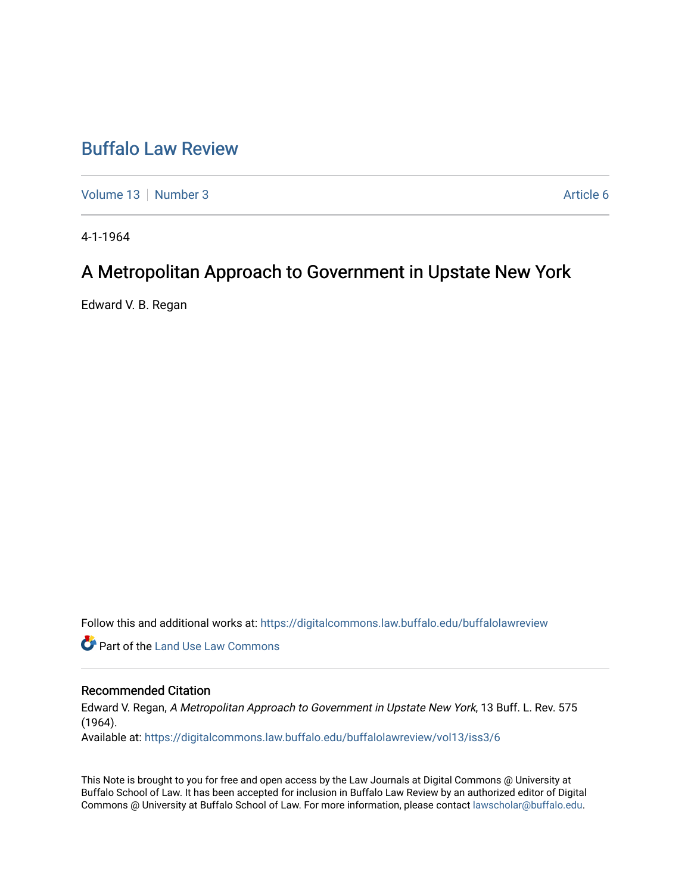# [Buffalo Law Review](https://digitalcommons.law.buffalo.edu/buffalolawreview)

[Volume 13](https://digitalcommons.law.buffalo.edu/buffalolawreview/vol13) [Number 3](https://digitalcommons.law.buffalo.edu/buffalolawreview/vol13/iss3) Article 6

4-1-1964

# A Metropolitan Approach to Government in Upstate New York

Edward V. B. Regan

Follow this and additional works at: [https://digitalcommons.law.buffalo.edu/buffalolawreview](https://digitalcommons.law.buffalo.edu/buffalolawreview?utm_source=digitalcommons.law.buffalo.edu%2Fbuffalolawreview%2Fvol13%2Fiss3%2F6&utm_medium=PDF&utm_campaign=PDFCoverPages) 

Part of the [Land Use Law Commons](http://network.bepress.com/hgg/discipline/852?utm_source=digitalcommons.law.buffalo.edu%2Fbuffalolawreview%2Fvol13%2Fiss3%2F6&utm_medium=PDF&utm_campaign=PDFCoverPages) 

# Recommended Citation

Edward V. Regan, A Metropolitan Approach to Government in Upstate New York, 13 Buff. L. Rev. 575 (1964).

Available at: [https://digitalcommons.law.buffalo.edu/buffalolawreview/vol13/iss3/6](https://digitalcommons.law.buffalo.edu/buffalolawreview/vol13/iss3/6?utm_source=digitalcommons.law.buffalo.edu%2Fbuffalolawreview%2Fvol13%2Fiss3%2F6&utm_medium=PDF&utm_campaign=PDFCoverPages) 

This Note is brought to you for free and open access by the Law Journals at Digital Commons @ University at Buffalo School of Law. It has been accepted for inclusion in Buffalo Law Review by an authorized editor of Digital Commons @ University at Buffalo School of Law. For more information, please contact [lawscholar@buffalo.edu](mailto:lawscholar@buffalo.edu).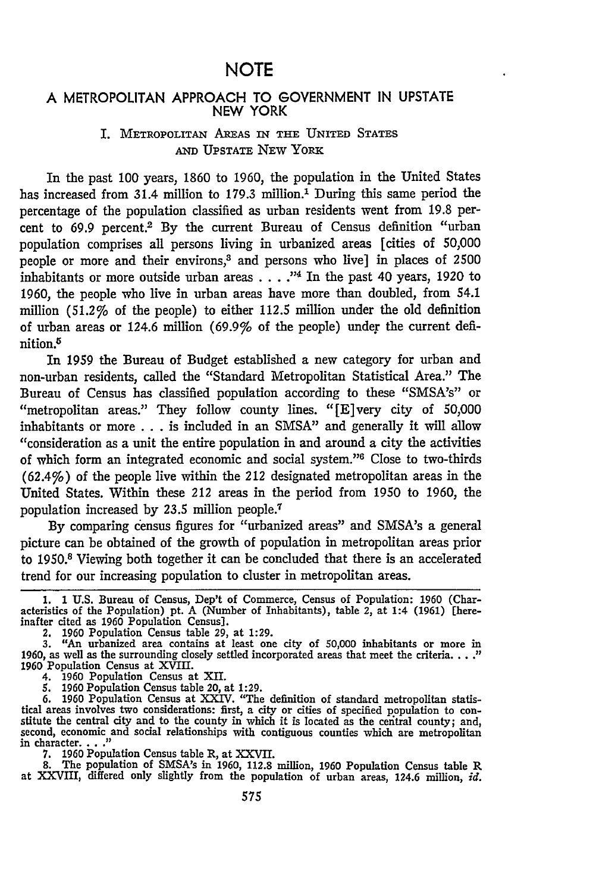# **A** METROPOLITAN APPROACH TO **GOVERNMENT IN UPSTATE NEW** YORK

# **1.** METROPOLITAN **AREAS** IN THE **UNITED STATES AND UPSTATE NEW YORK**

In the past 100 years, 1860 to 1960, the population in the United States has increased from 31.4 million to 179.3 million.' During this same period the percentage of the population classified as urban residents went from 19.8 percent to 69.9 percent.<sup>2</sup> By the current Bureau of Census definition "urban population comprises all persons living in urbanized areas [cities of 50,000 people or more and their environs,<sup>3</sup> and persons who live] in places of 2500 inhabitants or more outside urban areas **.... -"4** In the past 40 years, 1920 to 1960, the people who live in urban areas have more than doubled, from 54.1 million (51.2% of the people) to either 112.5 million under the old definition of urban areas or 124.6 million (69.9% of the people) under the current definition.

In **1959** the Bureau of Budget established a new category for urban and non-urban residents, called the "Standard Metropolitan Statistical Area." The Bureau of Census has classified population according to these "SMSA's" or "metropolitan areas." They follow county lines. "[E]very city of 50,000 inhabitants or more . . . is included in an SMSA" and generally it will allow "consideration as a unit the entire population in and around a city the activities of which form an integrated economic and social system."<sup>6</sup> Close to two-thirds (62.4%) of the people live within the 212 designated metropolitan areas in the United States. Within these 212 areas in the period from 1950 to 1960, the population increased by 23.5 million people.1

By comparing census figures for "urbanized areas" and SMSA's a general picture can be obtained of the growth of population in metropolitan areas prior to 1950.8 Viewing both together it can be concluded that there is an accelerated trend for our increasing population to cluster in metropolitan areas.

1. 1 U.S. Bureau of Census, Dep't of Commerce, Census of Population: 1960 (Characteristics of the Population) pt. A (Number of Inhabitants), table 2, at 1:4 (1961) [hereinafter cited as 1960 Population Census].

2. 1960 Population Census table 29, at 1:29. 3. "An urbanized area contains at least one city of 50,000 inhabitants or more in 1960, as well as the surrounding closely settled incorporated areas that meet the criteria. . . .<sup>"</sup> 1960 Population Census at XVIII.<br>4. 1960 Population Census at XII.

*5.* 1960 Population Census table 20, at 1:29.

6. 1960 Population Census at XXIV. "The definition of standard metropolitan statistical areas involves two considerations: first, a city or cities of specified population to con- stitute the central city and to the county in which it is located as the central county; and, second, economic and social relationships with contiguous counties which are metropolitan in character .. **7. 1960** Population Census table R, at XXVII.

**8.** The population of SMSA's in **1960, 112.8** million, **1960** Population Census table R at XXVIII, differed only slightly from the population of urban areas, 124.6 million, *id.*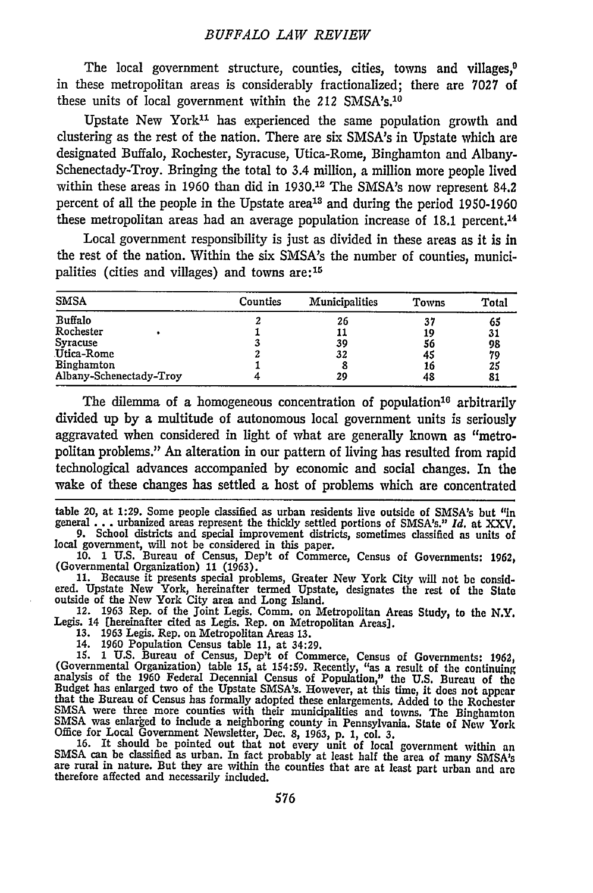The local government structure, counties, cities, towns and villages, $0$ in these metropolitan areas is considerably fractionalized; there are 7027 of these units of local government within the 212 SMSA's.<sup>10</sup>

Upstate New York<sup>11</sup> has experienced the same population growth and clustering as the rest of the nation. There are six SMSA's in Upstate which are designated Buffalo, Rochester, Syracuse, Utica-Rome, Binghamton and Albany-Schenectady-Troy. Bringing the total to 3.4 million, a million more people lived within these areas in 1960 than did in 1930.<sup>12</sup> The SMSA's now represent 84.2 percent of all the people in the Upstate area<sup>13</sup> and during the period 1950-1960 these metropolitan areas had an average population increase of 18.1 percent.<sup>14</sup>

Local government responsibility is just as divided in these areas as it is in the rest of the nation. Within the six SMSA's the number of counties, municipalities (cities and villages) and towns are:<sup>15</sup>

| <b>SMSA</b>             | Counties | Municipalities | Towns | Total |
|-------------------------|----------|----------------|-------|-------|
| Buffalo                 |          | 26             | 37    | 65    |
| Rochester               |          | 11             | 19    | 31    |
| Syracuse                |          | 39             | 56    | 98    |
| Utica-Rome              |          | 32             | 45    | 79    |
| Binghamton              |          |                | 16    | 25    |
| Albany-Schenectady-Troy |          | 29             | 48    | 81    |

The dilemma of a homogeneous concentration of population<sup>16</sup> arbitrarily divided up by a multitude of autonomous local government units is seriously aggravated when considered in light of what are generally known as "metropolitan problems." An alteration in our pattern of living has resulted from rapid technological advances accompanied by economic and social changes. In the wake of these changes has settled a host of problems which are concentrated

table 20, at **1:29.** Some people classified as urban residents live outside of SMSA's but "in general... urbanized areas represent the thickly settled portions of SMSA's." *Id.* at **XXV. 9.** School districts and special improvement districts, sometimes classified as units of

local government, will not be considered in this paper.

10. 1 U.S. Bureau of Census, Dep't of Commerce, Census of Governments: 1962,<br>(Governmental Organization) 11 (1963).<br>11. Because it presents special problems, Greater New York City will not be consid-<br>11. Because it present

12. **1963** Rep. of the Joint Legis. Comm. on Metropolitan Areas Study, to the N.Y. Legis. 14 (hereinafter cited as Legis. Rep. on Metropolitan Areas]. **13.** 1963 Legis. Rep. on Metropolitan Areas 13.

14. 1960 Population Census table **11,** at 34:29.

15. 1 U.S. Bureau of Census, Dep't of Commerce, Census of Governments: 1962<br>(Governmental Organization) table 15, at 154:59. Recently, "as a result of the continuing<br>analysis of the 1960 Federal Decennial Census of Populat Budget has enlarged two of the Upstate SMSA's. However, at this time, it does not appear that the Bureau of Census has formally adopted these enlargements. Added to the Rochester SMSA were three more counties with their municipalities and towns. The Binghamton SMSA was enlarged to include a neighboring county in Pennsylvania. State of New York

Office for Local Government Newsletter, Dec. 8, 1963, p. 1, col. 3.<br>16. It should be pointed out that not every unit of local government within an<br>SMSA's can be classified as urban. In fact probably at least half the area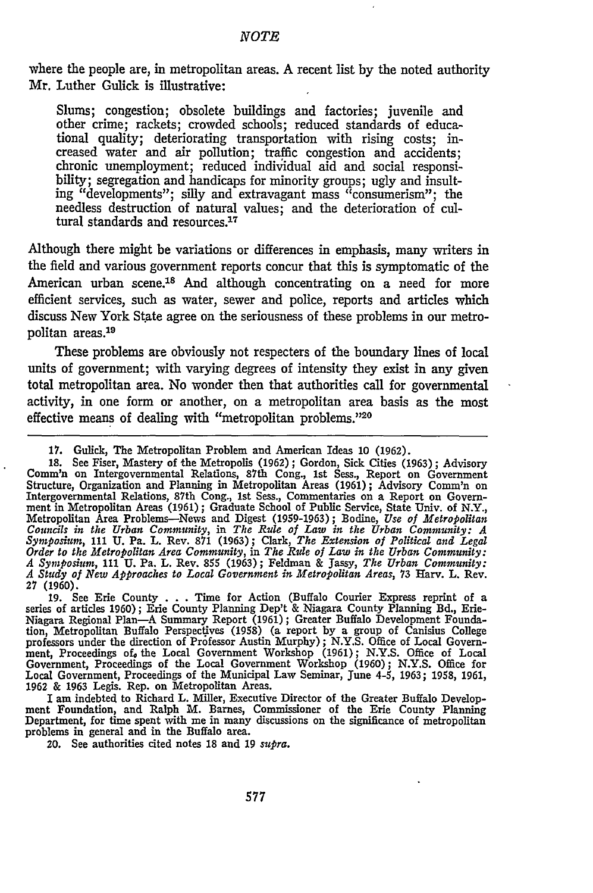where the people are, in metropolitan areas. A recent list by the noted authority Mr. Luther Gulick is illustrative:

Slums; congestion; obsolete buildings and factories; juvenile and other crime; rackets; crowded schools; reduced standards of educational quality; deteriorating transportation with rising costs; increased water and air pollution; traffic congestion and accidents; chronic unemployment; reduced individual aid and social responsibility; segregation and handicaps for minority groups; ugly and insulting "developments"; silly and extravagant mass "consumerism"; the needless destruction of natural values; and the deterioration of cultural standards and resources.<sup>17</sup>

Although there might be variations or differences in emphasis, many writers in the field and various government reports concur that this is symptomatic of the American urban scene.<sup>18</sup> And although concentrating on a need for more efficient services, such as water, sewer and police, reports and articles which discuss New York State agree on the seriousness of these problems in our metropolitan areas.<sup>19</sup>

These problems are obviously not respecters of the boundary lines of local units of government; with varying degrees of intensity they exist in any given total metropolitan area. No wonder then that authorities call for governmental activity, in one form or another, on a metropolitan area basis as the most effective means of dealing with "metropolitan problems."20

**19.** See Erie County **.** . **.** Time for Action (Buffalo Courier Express reprint of a series of articles **1960);** Erie County Planning Dep't & Niagara County Planning Bd., Erie-Niagara Regional Plan-A Summary Report **(1961);** Greater Buffalo Development Foundation, Metropolitan Buffalo Perspectives (1958) (a report by a group of Canisius College<br>professors under the direction of Professor Austin Murphy); N.Y.S. Office of Local Govern-<br>ment, Proceedings of, the Local Government Government, Proceedings of the Local Government Workshop (1960); N.Y.S. Office for Local Government, Proceedings of the Municipal Law Seminar, June 4-5, 1963; 1958, 1961<br>1962 & 1963 Legis. Rep. on Metropolitan Areas.

I am indebted to Richard L. Miller, Executive Director of the Greater Buffalo Development Foundation, and Ralph M. Barnes, Commissioner of the Erie County Planning Department, for time spent with me in many discussions on the significance of metropolitan problems in general and in the Buffalo area.

20. See authorities cited notes **18** and **19** *supra.*

**<sup>17.</sup>** Gulick, The Metropolitan Problem and American Ideas **10 (1962). 18. Comm'n on Intergovernmental Relations, 87th Cong., 1st Sess., Report on Government Structure, Organization and Planning in Metropolitan Areas (1961); Advisory Comm'n on** Structure, Organization and Planning in Metropolitan Areas (1961); Advisory Comm'n on<br>Intergovernmental Relations, 87th Cong., 1st Sess., Commentaries on a Report on Governmental Relations, 87th Cong., 1st Sess., Commentar Symposium, 111 U. Pa. L. Rev. 871 (1963); Clark, The Extension of Political and Legal<br>Order to the Metropolitan Area Community, in The Rule of Law in the Urban Community:<br>A Symposium, 111 U. Pa. L. Rev. 855 (1963); Feldman **27** (1960).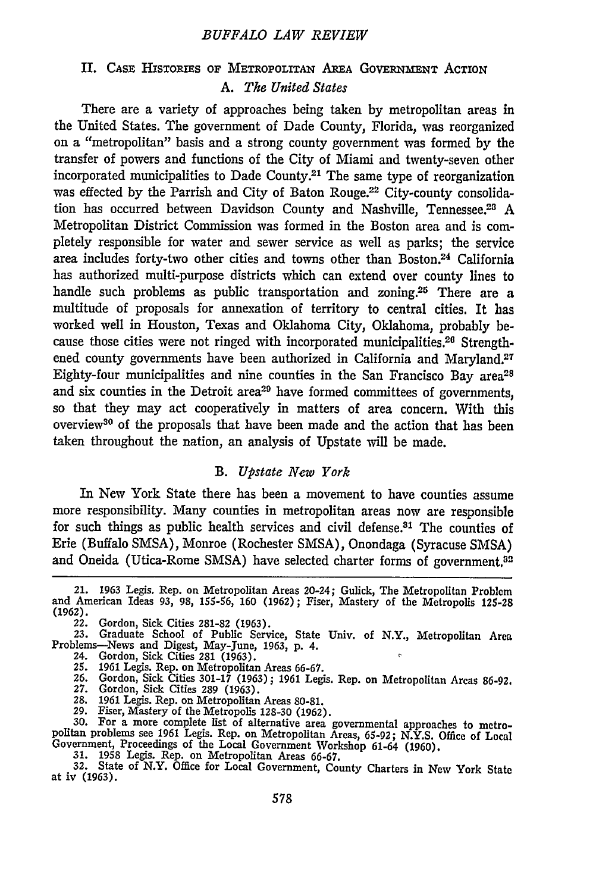#### *BUFFALO LAW REVIEW*

# II. CASE HISTORIES OF METROPOLITAN AREA GOVERNMENT ACTION *A. Tke United States*

There are a variety of approaches being taken by metropolitan areas in the United States. The government of Dade County, Florida, was reorganized on a "metropolitan" basis and a strong county government was formed by the transfer of powers and functions of the City of Miami and twenty-seven other incorporated municipalities to Dade County.<sup>21</sup> The same type of reorganization was effected by the Parrish and City of Baton Rouge.<sup>22</sup> City-county consolidation has occurred between Davidson County and Nashville, Tennessee.<sup>28</sup> A Metropolitan District Commission was formed in the Boston area and is completely responsible for water and sewer service as well as parks; the service area includes forty-two other cities and towns other than Boston.<sup>24</sup> California has authorized multi-purpose districts which can extend over county lines to handle such problems as public transportation and zoning.<sup>25</sup> There are a multitude of proposals for annexation of territory to central cities. It has worked well in Houston, Texas and Oklahoma City, Oklahoma, probably because those cities were not ringed with incorporated municipalities.<sup>26</sup> Strengthened county governments have been authorized in California and Maryland.<sup>27</sup> Eighty-four municipalities and nine counties in the San Francisco Bay area<sup>28</sup> and six counties in the Detroit area<sup>29</sup> have formed committees of governments, so that they may act cooperatively in matters of area concern. With this overview30 of the proposals that have been made and the action that has been taken throughout the nation, an analysis of Upstate will be made.

#### *B. Upstate New York*

In New York State there has been a movement to have counties assume more responsibility. Many counties in metropolitan areas now are responsible for such things as public health services and civil defense.<sup>31</sup> The counties of Erie (Buffalo SMSA), Monroe (Rochester SMSA), Onondaga (Syracuse SMSA) and Oneida (Utica-Rome SMSA) have selected charter forms of government.<sup>32</sup>

- 24. Gordon, Sick Cities **281** (1963).
- 
- 25. 1961 Legis. Rep. on Metropolitan Areas 66-67.<br>26. Gordon, Sick Cities 301-17 (1963) ; 1961 Legis. Rep. on Metropolitan Areas 86-92<br>27. Gordon, Sick Cities 289 (1963).<br>28. 1961 Legis. Rep. on Metropolitan Areas 80
- 
- 

29. Fiser, Mastery of the Metropolis 128-30 (1962).<br>30. For a more complete list of alternative area governmental approaches to metro-<br>30. For a more complete list of alternative area governmental approaches to metropolitan problems see 1961 Legis. Rep. on Metropolitan Areas, 65-92; N.Y.S. Office of Local Government, Proceedings of the Local Government Workshop 61-64 (1960).

31. 1958 Legis. Rep. on Metropolitan Areas 66-67. **32.** State of N.Y. Office for Local Government, County Charters in New York State at iv (1963).

<sup>21. 1963</sup> Legis. Rep. on Metropolitan Areas 20-24; Gulick, The Metropolitan Problem and American Ideas **93, 98, 155-56, 160 (1962);** Fiser, Mastery of the Metropolis **125-28** (1962).

**<sup>22.</sup>** Gordon, Sick Cities **281-82** (1963).

**<sup>23.</sup>** Graduate School of Public Service, State Univ. of N.Y., Metropolitan Area Problems-News and Digest, May-June, 1963, p. 4.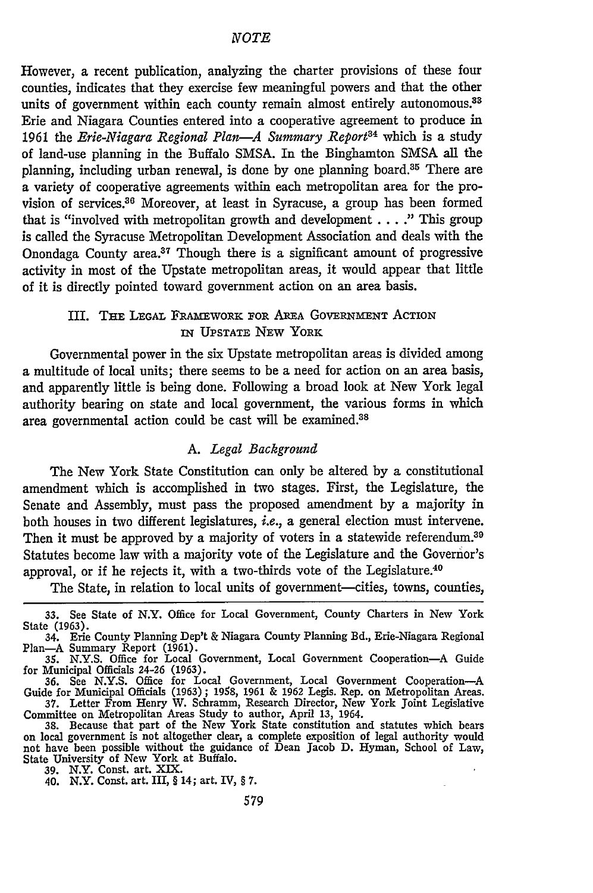However, a recent publication, analyzing the charter provisions of these four counties, indicates that they exercise few meaningful powers and that the other units of government within each county remain almost entirely autonomous.<sup>33</sup> Erie and Niagara Counties entered into a cooperative agreement to produce in 1961 the *Erie-Niagara Regional Plan-A Summary Report34* which is a study of land-use planning in the Buffalo SMSA. In the Binghamton SMSA all the planning, including urban renewal, is done by one planning board.<sup>35</sup> There are a variety of cooperative agreements within each metropolitan area for the provision of services.<sup>36</sup> Moreover, at least in Syracuse, a group has been formed that is "involved with metropolitan growth and development ... **."** This group is called the Syracuse Metropolitan Development Association and deals with the Onondaga County area.37 Though there is a significant amount of progressive activity in most of the Upstate metropolitan areas, it would appear that little of it is directly pointed toward government action on an area basis.

# III. THE LEGAL FRAMEwoRx FOR **AREA GOVERNMENT ACTION** IN UPSTATE **NEW** YORK

Governmental power in the six Upstate metropolitan areas is divided among a multitude of local units; there seems to be a need for action on an area basis, and apparently little is being done. Following a broad look at New York legal authority bearing on state and local government, the various forms in which area governmental action could be cast will be examined.<sup>38</sup>

#### *A. Legal Background*

The New York State Constitution can only be altered by a constitutional amendment which is accomplished in two stages. First, the Legislature, the Senate and Assembly, must pass the proposed amendment by a majority in both houses in two different legislatures, *i.e.,* a general election must intervene. Then it must be approved by a majority of voters in a statewide referendum.<sup>39</sup> Statutes become law with a majority vote of the Legislature and the Governor's approval, or if he rejects it, with a two-thirds vote of the Legislature.<sup>40</sup>

The State, in relation to local units of government—cities, towns, counties,

<sup>33.</sup> See State of N.Y. Office for Local Government, County Charters in New York State (1963).

<sup>34.</sup> Erie County Planning Dep't & Niagara County Planning Bd., Erie-Niagara Regional Plan-A Summary Report (1961). *35.* **N.Y.S.** Office for Local Government, Local Government Cooperation-A Guide

for Municipal Officials 24-26 (1963).

<sup>36.</sup> See N.Y.S. Office for Local Government, Local Government Cooperation---A<br>Guide for Municipal Officials (1963); 1958, 1961 & 1962 Legis. Rep. on Metropolitan Areas<br>37. Letter From Henry W. Schramm, Research Director, Ne

Committee on Metropolitan Areas Study to author, April 13, 1964. **38.** Because that part of the New York State constitution and statutes which bears on local government is not altogether dear, a complete exposition of legal authority would not have been possible without the guidance of Dean Jacob D. Hyman, School of Law, State University of New York at Buffalo.

<sup>39.</sup> N.Y. Const. art. XIX. 40. N.Y. Const. art. III, § 14; art. IV, § 7.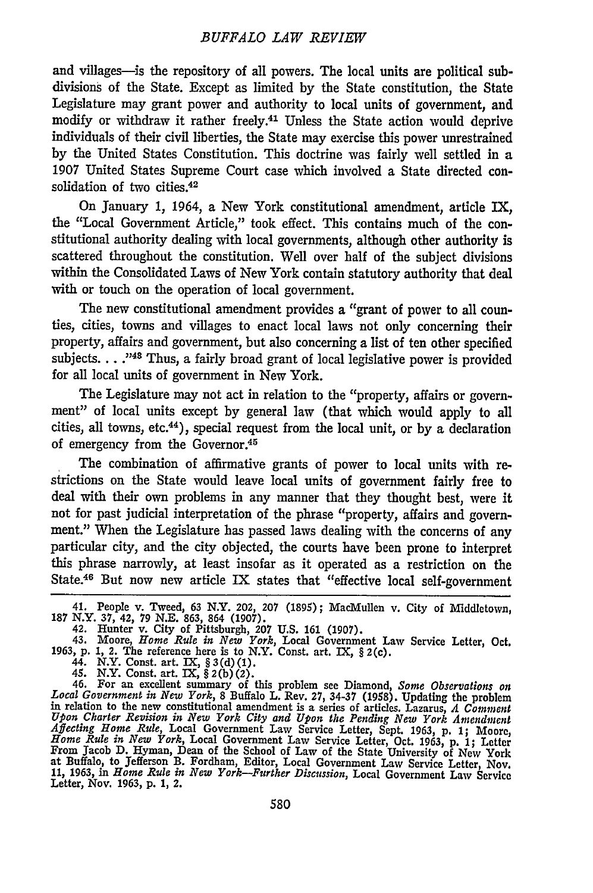#### *BUFFALO LAW REVIEW*

and villages-is the repository of all powers. The local units are political subdivisions of the State. Except as limited by the State constitution, the State Legislature may grant power and authority to local units of government, and modify or withdraw it rather freely.41 Unless the State action would deprive individuals of their civil liberties, the State may exercise this power unrestrained by the United States Constitution. This doctrine was fairly well settled in a 1907 United States Supreme Court case which involved a State directed consolidation of two cities.<sup>42</sup>

On January 1, 1964, a New York constitutional amendment, article IX, the "Local Government Article," took effect. This contains much of the constitutional authority dealing with local governments, although other authority is scattered throughout the constitution. Well over half of the subject divisions within the Consolidated Laws of New York contain statutory authority that deal with or touch on the operation of local government.

The new constitutional amendment provides a "grant of power to all counties, cities, towns and villages to enact local laws not only concerning their property, affairs and government, but also concerning a list of ten other specified subjects. . . ."43 Thus, a fairly broad grant of local legislative power is provided for all local units of government in New York.

The Legislature may not act in relation to the "property, affairs or government" of local units except by general law (that which would apply to all cities, all towns, etc.44), special request from the local unit, or by a declaration of emergency from the Governor.<sup>45</sup>

The combination of affirmative grants of power to local units with restrictions on the State would leave local units of government fairly free to deal with their own problems in any manner that they thought best, were it not for past judicial interpretation of the phrase "property, affairs and government." When the Legislature has passed laws dealing with the concerns of any particular city, and the city objected, the courts have been prone to interpret this phrase narrowly, at least insofar as it operated as a restriction on the State.46 But now new article IX states that "effective local self-government

41. People v. Tweed, 63 N.Y. 202, 207 (1895); MacMullen v. City of Middletown, 187 N.Y. **37,** 42, 79 N.E. 863, 864 (1907). 42. Hunter v. City of Pittsburgh, 207 **U.S.** 161 (1907).

43. Moore, *Home Rule in New York,* Local Government Law Service Letter, Oct. **1963,** p. **1,** 2. The reference here is to N.Y. Const. art. IX, § 2(c). 44. N.Y. Const. art. IX, §3(d)(1).

45. N.Y. Const. art. IX, § 2(b)(2).<br>46. For an excellent summary of this problem see Diamond, Some Observations on<br>Local Government in New York, 8 Buffalo L. Rev. 27, 34-37 (1958). Undating the problem in relation to the new constitutional amendment is a series of articles. Lazarus, *A Comment Upon Charter Revision in New York City and Upon the Pending New York Amendment Affecting Home Rule,* Local Government Law Service Letter, Sept. **1963, p. 1;** Moore, *Home Rule in New York,* Local Government Law Service Letter, Oct. **1963, p. 1;** Letter From Jacob D. Hyman, Dean of the School of Law of the State University of New York at Buffalo, to Jefferson B. Fordham, Editor, Local Government Law Service Letter, Nov. **11, 1963,** in *Home Rule in New York-Further Discussion,* Local Government Law Service Letter, Nov. 1963, p. 1, 2.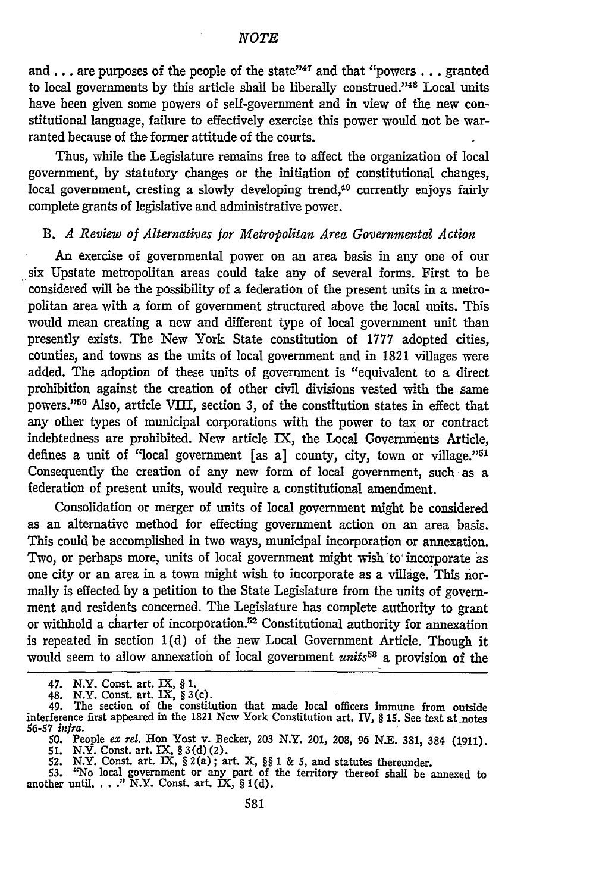and . . . are purposes of the people of the state"<sup>47</sup> and that "powers . . . granted to local governments by this article shall be liberally construed."<sup>48</sup> Local units have been given some powers of self-government and in view of the new constitutional language, failure to effectively exercise this power would not be warranted because of the former attitude of the courts.

Thus, while the Legislature remains free to affect the organization of local government, by statutory changes or the initiation of constitutional changes, local government, cresting a slowly developing trend,<sup>49</sup> currently enjoys fairly complete grants of legislative and administrative power.

### B. *A Review of Alternatives for Metropolitan Area Governmental Action*

An exercise of governmental power on an area basis in any one of our six Upstate metropolitan areas could take any of several forms. First to be considered will be the possibility of a federation of the present units in a metropolitan area with a form of government structured above the local units. This would mean creating a new and different type of local government unit than presently exists. The New York State constitution of 1777 adopted cities, counties, and towns as the units of local government and in 1821 villages were added. The adoption of these units of government is "equivalent to a direct prohibition against the creation of other civil divisions vested with the same powers."<sup>50</sup> Also, article VIII, section 3, of the constitution states in effect that any other types of municipal corporations with the power to tax or contract indebtedness are prohibited. New article IX, the Local Governments Article, defines a unit of "local government [as a] county, city, town or village."<sup>51</sup> Consequently the creation of any new form of local government, such as a federation of present units, would require a constitutional amendment.

Consolidation or merger of units of local government might be considered as an alternative method for effecting government action on an area basis. This could be accomplished in two ways, municipal incorporation or annexation. Two, or perhaps more, units of local government might wish to incorporate as one city or an area in a town might wish to incorporate as a village. This normally is effected by a petition to the State Legislature from the units of government and residents concerned. The Legislature has complete authority to grant or withhold a charter of incorporation. 52 Constitutional authority for annexation is repeated in section 1(d) of the new Local Government Article. Though it would seem to allow annexation of local government *units*<sup>58</sup> a provision of the

<sup>47.</sup> N.Y. Const. art. IX, **§** 1.

<sup>48.</sup> N.Y. Const. art. IX, **§** 3 (c). 49. The section of the constitution that made local officers immune from outside interference first appeared in the 1821 New York Constitution art. IV, **§** 15. See text at-notes *56-57 infra.*

<sup>50.</sup> People ex rel. Hon Yost v. Becker, 203 N.Y. 201, 208, 96 N.E. 381, 384 (1911).<br>51. N.Y. Const. art. IX, § 3(d)(2).<br>52. N.Y. Const. art. IX, § 2(a); art. X, §§ 1 & 5, and statutes thereunder.<br>53. "No local government o

another until... ." N.Y. Const. art. IX, § **I(d).**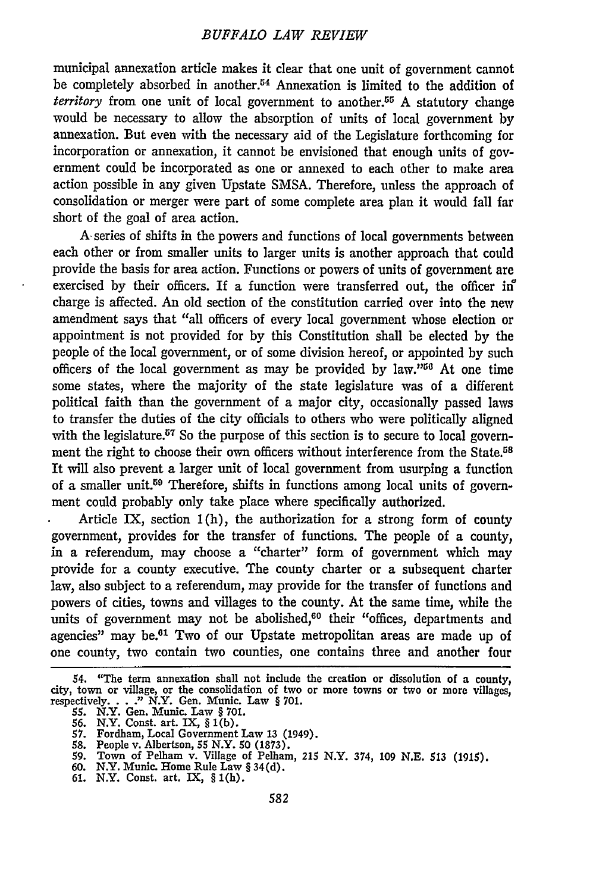municipal annexation article makes it clear that one unit of government cannot be completely absorbed in another.<sup>54</sup> Annexation is limited to the addition of *territory* from one unit of local government to another.<sup>55</sup> A statutory change would be necessary to allow the absorption of units of local government by annexation. But even with the necessary aid of the Legislature forthcoming for incorporation or annexation, it cannot be envisioned that enough units of government could be incorporated as one or annexed to each other to make area action possible in any given Upstate SMSA. Therefore, unless the approach of consolidation or merger were part of some complete area plan it would fall far short of the goal of area action.

A- series of shifts in the powers and functions of local governments between each other or from smaller units to larger units is another approach that could provide the basis for area action. Functions or powers of units of government are exercised by their officers. If a function were transferred out, the officer in charge is affected. An old section of the constitution carried over into the new amendment says that "all officers of every local government whose election or appointment is not provided for by this Constitution shall be elected by the people of the local government, or of some division hereof, or appointed by such officers of the local government as may be provided by  $law.^{"56}$  At one time some states, where the majority of the state legislature was of a different political faith than the government of a major city, occasionally passed laws to transfer the duties of the city officials to others who were politically aligned with the legislature.<sup>57</sup> So the purpose of this section is to secure to local government the right to choose their own officers without interference from the State.<sup>58</sup> It will also prevent a larger unit of local government from usurping a function of a smaller unit.59 Therefore, shifts in functions among local units of government could probably only take place where specifically authorized.

Article IX, section 1(h), the authorization for a strong form of county government, provides for the transfer of functions. The people of a county, in a referendum, may choose a "charter" form of government which may provide for a county executive. The county charter or a subsequent charter law, also subject to a referendum, may provide for the transfer of functions and powers of cities, towns and villages to the county. At the same time, while the units of government may not be abolished,<sup>60</sup> their "offices, departments and agencies" may be.<sup>61</sup> Two of our Upstate metropolitan areas are made up of one county, two contain two counties, one contains three and another four

- **60.** N.Y. Munic. Home Rule Law § 34(d). **61.** N.Y. Const. art. IX, § I(h).
- 

<sup>54. &</sup>quot;The term annexation shall not include the creation or dissolution of a county, city, town or village, or the consolidation of two or more towns or two or more villages, respectively. . . ." N.Y. Gen. Munic. Law § 701

**<sup>55.</sup>** N.Y. Gen. Munic. Law § **701.**

**<sup>56.</sup>** N.Y. Const. art. IX, § **I(b). 57.** Fordham, Local Government Law **13** (1949).

**<sup>58.</sup>** People v. Albertson, 55 N.Y. **50 (1873). 59.** Town of Pelham v. Village of Pelham, 215 N.Y. 374, **109 N.E. 513 (1915).**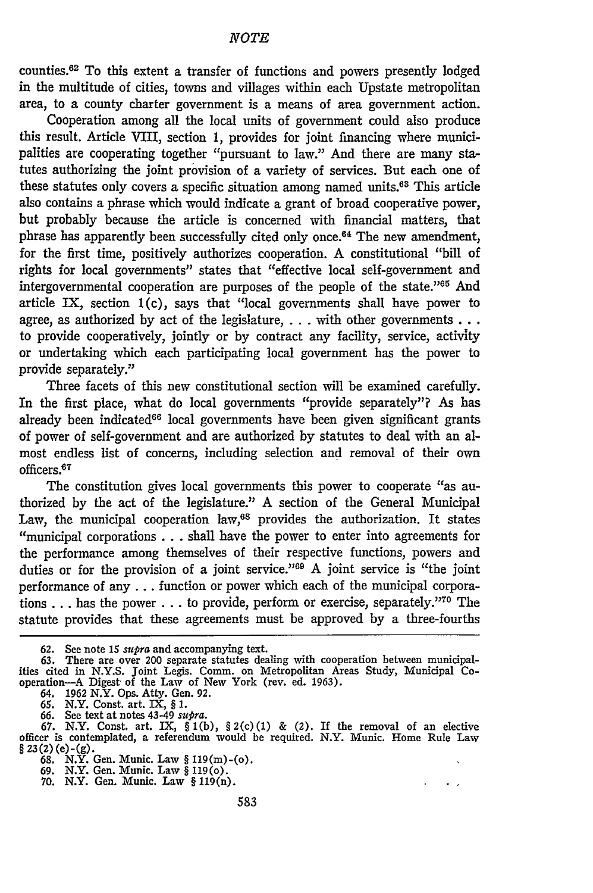counties.62 To this extent a transfer of functions and powers presently lodged in the multitude of cities, towns and villages within each Upstate metropolitan area, to a county charter government is a means of area government action.

Cooperation among all the local units of government could also produce this result. Article VIII, section **1,** provides for joint financing where municipalities are cooperating together "pursuant to law." And there are many statutes authorizing the joint provision of a variety of services. But each one of these statutes only covers a specific situation among named units.63 This article also contains a phrase which would indicate a grant of broad cooperative power, but probably because the article is concerned with financial matters, that phrase has apparently been successfully cited only once.<sup>64</sup> The new amendment, for the first time, positively authorizes cooperation. A constitutional "bill of rights for local governments" states that "effective local self-government and intergovernmental cooperation are purposes of the people of the state."65 And article IX, section 1(c), says that "local governments shall have power to agree, as authorized by act of the legislature, ... with other governments ... to provide cooperatively, jointly or by contract any facility, service, activity or undertaking which each participating local government has the power to provide separately."

Three facets of this new constitutional section will be examined carefully. In the first place, what do local governments "provide separately"? As has already been indicated<sup>66</sup> local governments have been given significant grants of power of self-government and are authorized **by** statutes to deal with an almost endless list of concerns, including selection and removal of their own officers.<sup>67</sup>

The constitution gives local governments this power to cooperate "as authorized by the act of the legislature." A section of the General Municipal Law, the municipal cooperation  $law, <sup>68</sup>$  provides the authorization. It states ''municipal corporations . **..** shall have the power to enter into agreements for the performance among themselves of their respective functions, powers and duties or for the provision of a joint service."<sup>69</sup> A joint service is "the joint performance of any **...** function or power which each of the municipal corporations . . . has the power . . . to provide, perform or exercise, separately."<sup>70</sup> The statute provides that these agreements must be approved by a three-fourths

64. 1962 N.Y. Ops. Atty. Gen. **92.**

**65.** N.Y. Const. art. IX, § **1.**

 $\ddot{\phantom{0}}$ 

**<sup>62.</sup>** See note **15** *supra* and accompanying text. **63.** There are over 200 separate statutes dealing with cooperation between municipal- ities cited in **N.Y.S.** joint Legis. Comm. on Metropolitan Areas Study, Municipal Cooperation-A Digest of the Law of New York (rev. ed. 1963).

<sup>66.</sup> See text at notes  $43-49$  supra.<br>67. N.Y. Const. art. IX,  $\S 1(b)$ ,  $\S 2(c)(1)$  & (2). If the removal of an elective<br>officer is contemplated, a referendum would be required. N.Y. Munic. Home Rule Law  $\S 23(2)$  (e) - (g).

**<sup>68.</sup>** N.Y. Gen. Munic. Law § 119(m)-(o). **69.** N.Y. Gen. Munic. Law § 119(o).

**<sup>70.</sup>** N.Y. Gen. Munic. Law § **119(n).**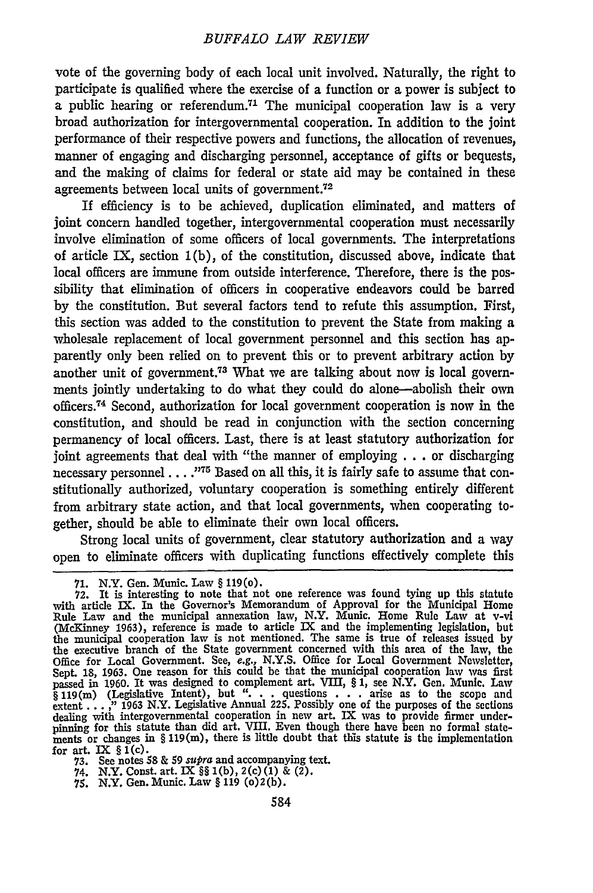vote of the governing body of each local unit involved. Naturally, the right to participate is qualified where the exercise of a function or a power is subject to a public hearing or referendum.<sup>71</sup> The municipal cooperation law is a very broad authorization for intergovernmental cooperation. In addition to the joint performance of their respective powers and functions, the allocation of revenues, manner of engaging and discharging personnel, acceptance of gifts or bequests, and the making of claims for federal or state aid may be contained in these agreements between local units of government. $72$ 

If efficiency is to be achieved, duplication eliminated, and matters of joint concern handled together, intergovernmental cooperation must necessarily involve elimination of some officers of local governments. The interpretations of article IX, section 1(b), of the constitution, discussed above, indicate that local officers are immune from outside interference. Therefore, there is the possibility that elimination of officers in cooperative endeavors could be barred by the constitution. But several factors tend to refute this assumption. First, this section was added to the constitution to prevent the State from making a wholesale replacement of local government personnel and this section has apparently only been relied on to prevent this or to prevent arbitrary action by another unit of government.73 What we are talking about now is local governments jointly undertaking to do what they could do alone-abolish their own officers.74 Second, authorization for local government cooperation is now in the constitution, and should be read in conjunction with the section concerning permanency of local officers. Last, there is at least statutory authorization for joint agreements that deal with "the manner of employing . . . or discharging necessary personnel....<sup>775</sup> Based on all this, it is fairly safe to assume that constitutionally authorized, voluntary cooperation is something entirely different from arbitrary state action, and that local governments, when cooperating together, should be able to eliminate their own local officers.

Strong local units of government, clear statutory authorization and a way open to eliminate officers with duplicating functions effectively complete this

<sup>71.</sup> N.Y. Gen. Munic. Law § 119(0).<br>72. It is interesting to note that not one reference was found tying up this statute<br>with article IX. In the Governor's Memorandum of Approval for the Municipal Home<br>Rule Law and the muni (McKinney 1963), reference is made to article IX and the implementing legislation, but<br>the municipal cooperation law is not mentioned. The same is true of releases issued by<br>the executive branch of the State government con Office for Local Government. See, *e.g.,* N.Y.S. Office for Local Government Newsletter, Sept. 18, **1963.** One reason for this could be that the municipal cooperation law was first passed in 1960. It was designed to complement art. VIII, § 1, see N.Y. Gen. Munic. Law  $\S$  119(m) (Legislative Intent), but "... questions ... arise as to the scope and extent ...," 1963 N.Y. Legislative Annual 225. Possibly one of the purposes of the sections dealing with intergovernmental cooperation in n for art. IX  $\S I(c)$ 

**<sup>73.</sup>** See notes **58** & *59 supra* and accompanying text.

<sup>74.</sup> N.Y. Const. art. IX **§§** (b), 2(c) (1) & (2). **75.** N.Y. Gen. Munic. Law **§ 119 (o)2(b).**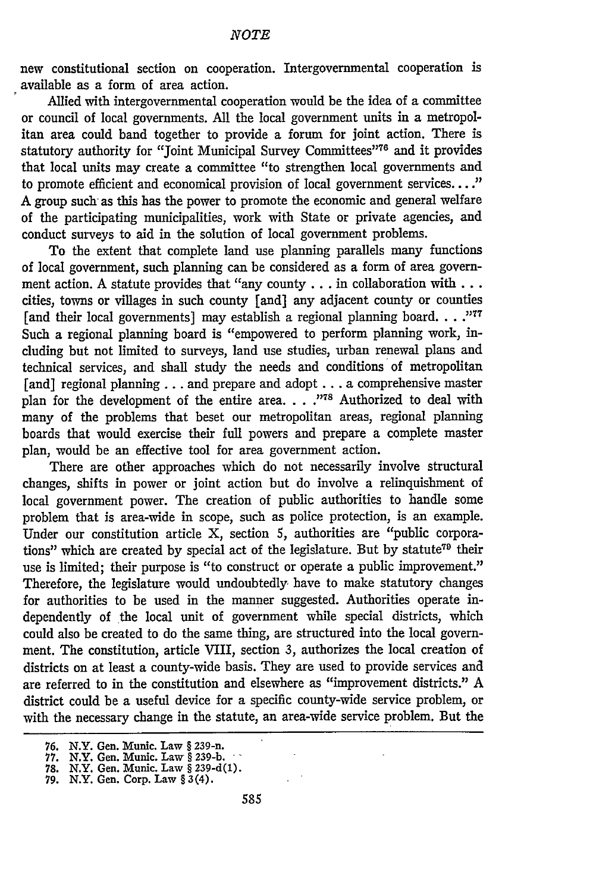new constitutional section on cooperation. Intergovernmental cooperation is available as a form of area action.

Allied with intergovernmental cooperation would be the idea of a committee or council of local governments. All the local government units in a metropolitan area could band together to provide a forum for joint action. There is statutory authority for "Joint Municipal Survey Committees"<sup>76</sup> and it provides that local units may create a committee "to strengthen local governments and to promote efficient and economical provision of local government services...." A group such as this has the power to promote the economic and general welfare of the participating municipalities, work with State or private agencies, and conduct surveys to aid in the solution of local government problems.

To the extent that complete land use planning parallels many functions of local government, such planning can be considered as a form of area government action. A statute provides that "any county... in collaboration **with...** cities, towns or villages in such county [and) any adjacent county or counties [and their local governments] may establish a regional planning board. . . .<sup>1777</sup> Such a regional planning board is "empowered to perform planning work, including but not limited to surveys, land use studies, urban renewal plans and technical services, and shall study the needs and conditions of metropolitan [and] regional planning . . . and prepare and adopt . . . a comprehensive master plan for the development of the entire area. . . .<sup>778</sup> Authorized to deal with many of the problems that beset our metropolitan areas, regional planning boards that would exercise their full powers and prepare a complete master plan, would be an effective tool for area government action.

There are other approaches which do not necessarily involve structural changes, shifts in power or joint action but do involve a relinquishment of local government power. The creation of public authorities to handle some problem that is area-wide in scope, such as police protection, is an example. Under our constitution article X, section 5, authorities are "public corporations" which are created by special act of the legislature. But by statute<sup>79</sup> their use is limited; their purpose is "to construct or operate a public improvement." Therefore, the legislature would undoubtedly have to make statutory changes for authorities to be used in the manner suggested. Authorities operate independently of the local unit of government while special districts, which could also be created to do the same thing, are structured into the local government. The constitution, article VIII, section 3, authorizes the local creation of districts on at least a county-wide basis. They are used to provide services and are referred to in the constitution and elsewhere as "improvement districts." A district could be a useful device for a specific county-wide service problem, or with the necessary change in the statute, an area-wide service problem. But the

**<sup>76.</sup>** N.Y. Gen. Munic. Law § 239-n.

**<sup>77.</sup>** N.Y. Gen. Munic. Law § **239-b. 78.** N.Y. Gen. Munic. Law § **239-d(1). 79.** N.Y. Gen. Corp. Law § 3 (4).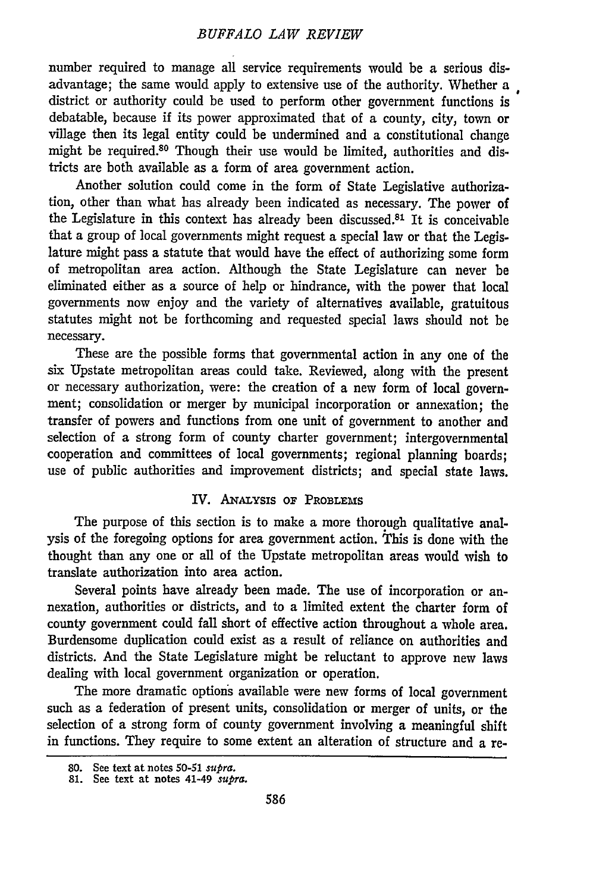number required to manage all service requirements would be a serious disadvantage; the same would apply to extensive use of the authority. Whether a district or authority could be used to perform other government functions is debatable, because if its power approximated that of a county, city, town or village then its legal entity could be undermined and a constitutional change might be required.80 Though their use would be limited, authorities and districts are both available as a form of area government action.

Another solution could come in the form of State Legislative authorization, other than what has already been indicated as necessary. The power of the Legislature in this context has already been discussed. $81$  It is conceivable that a group of local governments might request a special law or that the Legislature might pass a statute that would have the effect of authorizing some form of metropolitan area action. Although the State Legislature can never be eliminated either as a source of help or hindrance, with the power that local governments now enjoy and the variety of alternatives available, gratuitous statutes might not be forthcoming and requested special laws should not be necessary.

These are the possible forms that governmental action in any one of the six Upstate metropolitan areas could take. Reviewed, along with the present or necessary authorization, were: the creation of a new form of local government; consolidation or merger by municipal incorporation or annexation; the transfer of powers and functions from one unit of government to another and selection of a strong form of county charter government; intergovernmental cooperation and committees of local governments; regional planning boards; use of public authorities and improvement districts; and special state laws.

### IV. ANALYsIs **OF** PROBLEMS

The purpose of this section is to make a more thorough qualitative analysis of the foregoing options for area government action. This is done with the thought than any one or all of the Upstate metropolitan areas would wish to translate authorization into area action.

Several points have already been made. The use of incorporation or annexation, authorities or districts, and to a limited extent the charter form of county government could fall short of effective action throughout a whole area. Burdensome duplication could exist as a result of reliance on authorities and districts. And the State Legislature might be reluctant to approve new laws dealing with local government organization or operation.

The more dramatic options available were new forms of local government such as a federation of present units, consolidation or merger of units, or the selection of a strong form of county government involving a meaningful shift in functions. They require to some extent an alteration of structure and a re-

**<sup>80.</sup>** See text at notes *50-51 supra.* **81.** See text at notes 41-49 *supra.*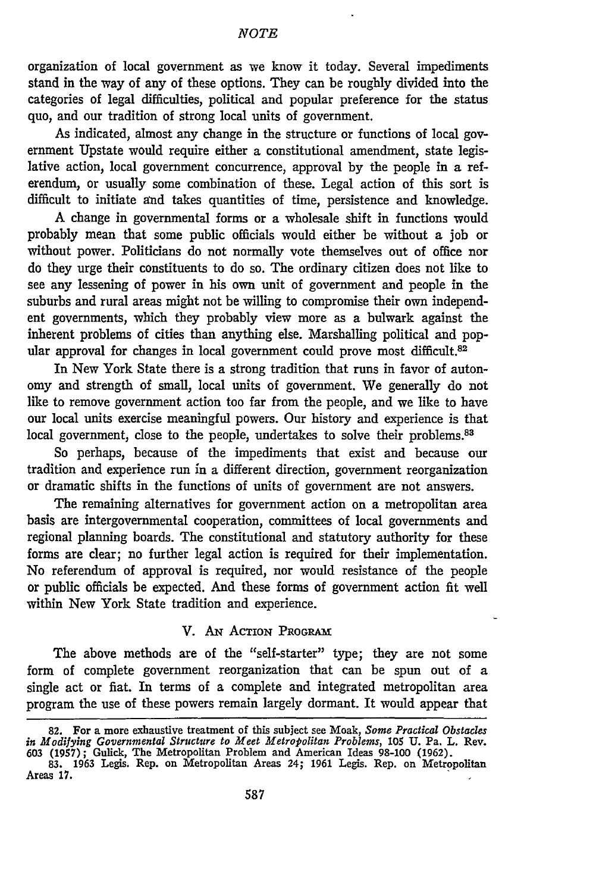organization of local government as we know it today. Several impediments stand in the way of any of these options. They can be roughly divided into the categories of legal difficulties, political and popular preference for the status quo, and our tradition of strong local units of government.

As indicated, almost any change in the structure or functions of local government Upstate would require either a constitutional amendment, state legislative action, local government concurrence, approval by the people in a referendum, or usually some combination of these. Legal action of this sort is difficult to initiate and takes quantities of time, persistence and knowledge.

A change in governmental forms or a wholesale shift in functions would probably mean that some public officials would either be without a job or without power. Politicians do not normally vote themselves out of office nor do they urge their constituents to do so. The ordinary citizen does not like to see any lessening of power in his own unit of government and people in the suburbs and rural areas might not be willing to compromise their own independent governments, which they probably view more as a bulwark against the inherent problems of cities than anything else. Marshalling political and popular approval for changes in local government could prove most difficult.<sup>82</sup>

In New York State there is a strong tradition that runs in favor of autonomy and strength of small, local units of government. We generally do not like to remove government action too far from the people, and we like to have our local units exercise meaningful powers. Our history and experience is that local government, close to the people, undertakes to solve their problems.<sup>83</sup>

So perhaps, because of the impediments that exist and because our tradition and experience run in a different direction, government reorganization or dramatic shifts in the functions of units of government are not answers.

The remaining alternatives for government action on a metropolitan area basis are intergovernmental cooperation, committees of local governments and regional planning boards. The constitutional and statutory authority for these forms are clear; no further legal action is required for their implementation. No referendum of approval is required, nor would resistance of the people or public officials be expected. And these forms of government action fit well within New York State tradition and experience.

## V. AN ACTION PRORAM

The above methods are of the "self-starter" type; they are not some form of complete government reorganization that can be spun out of a single act or fiat. In terms of a complete and integrated metropolitan area program the use of these powers remain largely dormant. It would appear that

<sup>82.</sup> For a more exhaustive treatment of this subject see Moak, *Some Practical Obstacles in Modifying Governmental Structure to Meet Metropolitan Problems,* 105 U. Pa. L. Rev. 603 (1957); Gulick, The Metropolitan Problem and American Ideas 98-100 (1962). **83.** 1963 Legis. Rep. on Metropolitan Areas 24; 1961 Legis. Rep. on Metropolitan

Areas 17.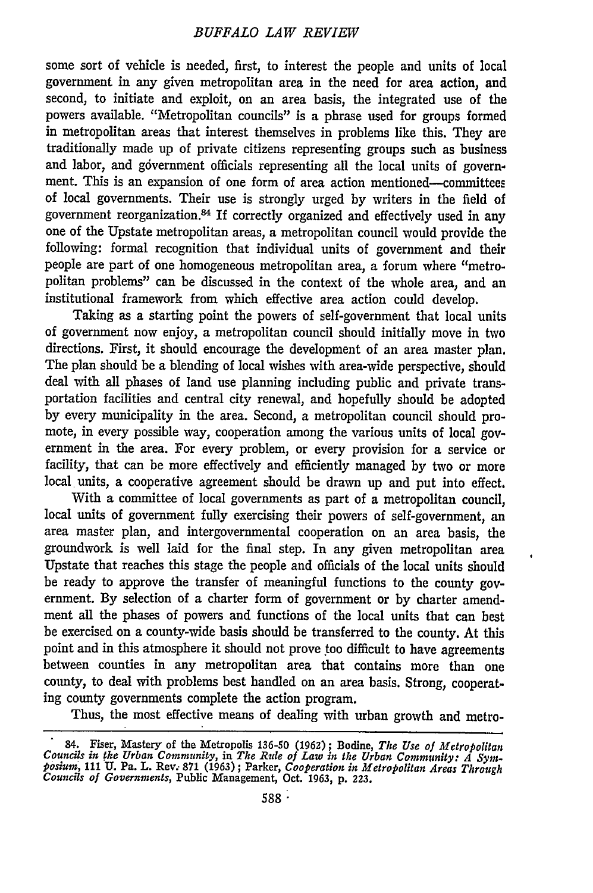some sort of vehicle is needed, first, to interest the people and units of local government in any given metropolitan area in the need for area action, and second, to initiate and exploit, on an area basis, the integrated use of the powers available. "Metropolitan councils" is a phrase used for groups formed in metropolitan areas that interest themselves in problems like this. They are traditionally made up of private citizens representing groups such as business and labor, and government officials representing all the local units of government. This is an expansion of one form of area action mentioned-committees of local governments. Their use is strongly urged by writers in the field of government reorganization. 84 If correctly organized and effectively used in any one of the Upstate metropolitan areas, a metropolitan council would provide the following: formal recognition that individual units of government and their people are part of one homogeneous metropolitan area, a forum where "metropolitan problems" can be discussed in the context of the whole area, and an institutional framework from which effective area action could develop.

Taking as a starting point the powers of self-government that local units of government now enjoy, a metropolitan council should initially move in two directions. First, it should encourage the development of an area master plan. The plan should be a blending of local wishes with area-wide perspective, should deal with all phases of land use planning including public and private transportation facilities and central city renewal, and hopefully should be adopted by every municipality in the area. Second, a metropolitan council should promote, in every possible way, cooperation among the various units of local government in the area. For every problem, or every provision for a service or facility, that can be more effectively and efficiently managed by two or more local units, a cooperative agreement should be drawn up and put into effect.

With a committee of local governments as part of a metropolitan council, local units of government fully exercising their powers of self-government, an area master plan, and intergovernmental cooperation on an area basis, the groundwork is well laid for the final step. In any given metropolitan area Upstate that reaches this stage the people and officials of the local units should be ready to approve the transfer of meaningful functions to the county government. By selection of a charter form of government or by charter amendment all the phases of powers and functions of the local units that can best be exercised on a county-wide basis should be transferred to the county. At this point and in this atmosphere it should not prove too difficult to have agreements between counties in any metropolitan area that contains more than one county, to deal with problems best handled on an area basis. Strong, cooperating county governments complete the action program.

 $\bullet$ 

Thus, the most effective means of dealing with urban growth and metro-

<sup>84.</sup> Fiser, Mastery of the Metropolis **136-50 (1962) ;** Bodine, *The Use of Metropolitan Councils in the Urban Community,* in *The Rule of Law in the Urban Community: A Symposium,* **111 U.** Pa. L. Rev. **871 (1963);** Parker, *Cooperation in Metropolitan Areas Through Councils of Governments,* Public Management, Oct. **1963, p. 223.**